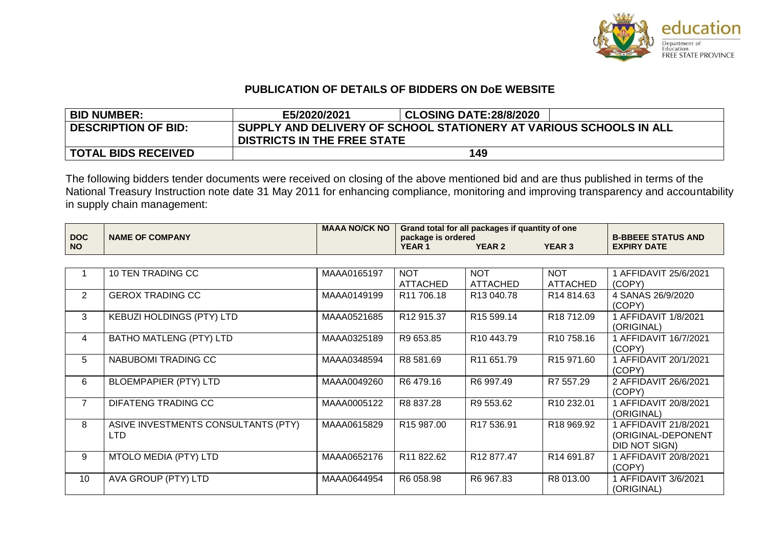

## **PUBLICATION OF DETAILS OF BIDDERS ON DoE WEBSITE**

| <b>BID NUMBER:</b>         | E5/2020/2021                                                                                             | <b>CLOSING DATE:28/8/2020</b> |  |  |  |  |
|----------------------------|----------------------------------------------------------------------------------------------------------|-------------------------------|--|--|--|--|
| <b>DESCRIPTION OF BID:</b> | SUPPLY AND DELIVERY OF SCHOOL STATIONERY AT VARIOUS SCHOOLS IN ALL<br><b>DISTRICTS IN THE FREE STATE</b> |                               |  |  |  |  |
| <b>TOTAL BIDS RECEIVED</b> |                                                                                                          | 149                           |  |  |  |  |

The following bidders tender documents were received on closing of the above mentioned bid and are thus published in terms of the National Treasury Instruction note date 31 May 2011 for enhancing compliance, monitoring and improving transparency and accountability in supply chain management:

|            |                        | <b>MAAA NO/CK NO</b> | Grand total for all packages if quantity of one |               |               |                           |
|------------|------------------------|----------------------|-------------------------------------------------|---------------|---------------|---------------------------|
| <b>DOC</b> | <b>NAME OF COMPANY</b> |                      | package is ordered                              |               |               | <b>B-BBEEE STATUS AND</b> |
| <b>NO</b>  |                        |                      | <b>YEAR</b>                                     | <b>YEAR 2</b> | <b>YEAR 3</b> | <b>EXPIRY DATE</b>        |

|                | 10 TEN TRADING CC                          | MAAA0165197 | <b>NOT</b><br><b>ATTACHED</b> | <b>NOT</b><br><b>ATTACHED</b> | <b>NOT</b><br><b>ATTACHED</b> | AFFIDAVIT 25/6/2021<br>(COPY)                                |
|----------------|--------------------------------------------|-------------|-------------------------------|-------------------------------|-------------------------------|--------------------------------------------------------------|
| 2              | <b>GEROX TRADING CC</b>                    | MAAA0149199 | R <sub>11</sub> 706.18        | R <sub>13</sub> 040.78        | R14 814.63                    | 4 SANAS 26/9/2020<br>(COPY)                                  |
| 3              | <b>KEBUZI HOLDINGS (PTY) LTD</b>           | MAAA0521685 | R <sub>12</sub> 915.37        | R <sub>15</sub> 599.14        | R18 712.09                    | AFFIDAVIT 1/8/2021<br>(ORIGINAL)                             |
| 4              | <b>BATHO MATLENG (PTY) LTD</b>             | MAAA0325189 | R9 653.85                     | R <sub>10</sub> 443.79        | R <sub>10</sub> 758.16        | 1 AFFIDAVIT 16/7/2021<br>(COPY)                              |
| 5              | NABUBOMI TRADING CC                        | MAAA0348594 | R8 581.69                     | R <sub>11</sub> 651.79        | R <sub>15</sub> 971.60        | 1 AFFIDAVIT 20/1/2021<br>(COPY)                              |
| 6              | <b>BLOEMPAPIER (PTY) LTD</b>               | MAAA0049260 | R6479.16                      | R6 997.49                     | R7 557.29                     | 2 AFFIDAVIT 26/6/2021<br>(COPY)                              |
| $\overline{7}$ | DIFATENG TRADING CC                        | MAAA0005122 | R8 837.28                     | R9 553.62                     | R10 232.01                    | 1 AFFIDAVIT 20/8/2021<br>(ORIGINAL)                          |
| 8              | ASIVE INVESTMENTS CONSULTANTS (PTY)<br>LTD | MAAA0615829 | R <sub>15</sub> 987.00        | R <sub>17</sub> 536.91        | R18 969.92                    | 1 AFFIDAVIT 21/8/2021<br>(ORIGINAL-DEPONENT<br>DID NOT SIGN) |
| 9              | <b>MTOLO MEDIA (PTY) LTD</b>               | MAAA0652176 | R <sub>11</sub> 822.62        | R <sub>12</sub> 877.47        | R14 691.87                    | 1 AFFIDAVIT 20/8/2021<br>(COPY)                              |
| 10             | AVA GROUP (PTY) LTD                        | MAAA0644954 | R6 058.98                     | R6 967.83                     | R8 013.00                     | 1 AFFIDAVIT 3/6/2021<br>(ORIGINAL)                           |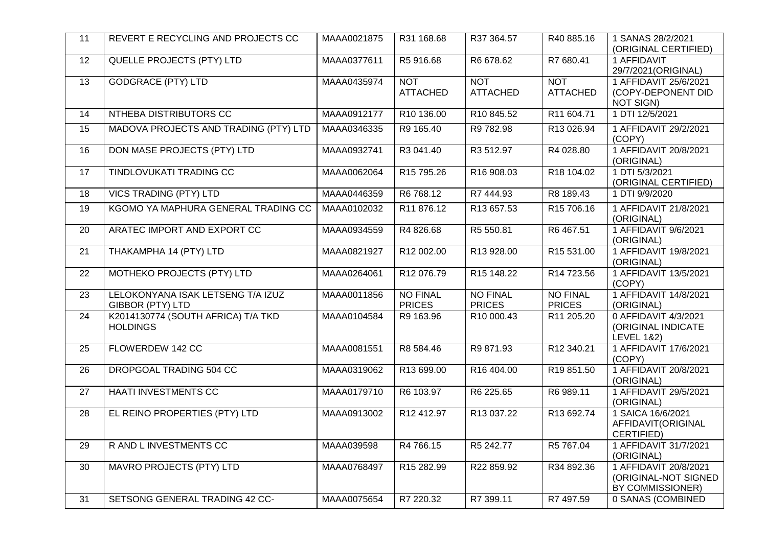| 11              | REVERT E RECYCLING AND PROJECTS CC                           | MAAA0021875 | R31 168.68                       | R37 364.57                       | R40 885.16                       | 1 SANAS 28/2/2021<br>(ORIGINAL CERTIFIED)                           |
|-----------------|--------------------------------------------------------------|-------------|----------------------------------|----------------------------------|----------------------------------|---------------------------------------------------------------------|
| 12              | QUELLE PROJECTS (PTY) LTD                                    | MAAA0377611 | R5 916.68                        | R6 678.62                        | R7 680.41                        | 1 AFFIDAVIT<br>29/7/2021 (ORIGINAL)                                 |
| $\overline{13}$ | <b>GODGRACE (PTY) LTD</b>                                    | MAAA0435974 | <b>NOT</b><br><b>ATTACHED</b>    | <b>NOT</b><br><b>ATTACHED</b>    | <b>NOT</b><br><b>ATTACHED</b>    | 1 AFFIDAVIT 25/6/2021<br>(COPY-DEPONENT DID<br><b>NOT SIGN)</b>     |
| 14              | NTHEBA DISTRIBUTORS CC                                       | MAAA0912177 | R10 136.00                       | R10 845.52                       | R11 604.71                       | 1 DTI 12/5/2021                                                     |
| 15              | MADOVA PROJECTS AND TRADING (PTY) LTD                        | MAAA0346335 | R9 165.40                        | R9 782.98                        | R13 026.94                       | 1 AFFIDAVIT 29/2/2021<br>(COPY)                                     |
| 16              | <b>DON MASE PROJECTS (PTY) LTD</b>                           | MAAA0932741 | R3 041.40                        | R3 512.97                        | R4 028.80                        | 1 AFFIDAVIT 20/8/2021<br>(ORIGINAL)                                 |
| 17              | <b>TINDLOVUKATI TRADING CC</b>                               | MAAA0062064 | R15 795.26                       | R16 908.03                       | R18 104.02                       | 1 DTI 5/3/2021<br>(ORIGINAL CERTIFIED)                              |
| 18              | <b>VICS TRADING (PTY) LTD</b>                                | MAAA0446359 | R6 768.12                        | R7 444.93                        | R8 189.43                        | 1 DTI 9/9/2020                                                      |
| 19              | KGOMO YA MAPHURA GENERAL TRADING CC                          | MAAA0102032 | R11 876.12                       | R13 657.53                       | R15 706.16                       | 1 AFFIDAVIT 21/8/2021<br>(ORIGINAL)                                 |
| 20              | ARATEC IMPORT AND EXPORT CC                                  | MAAA0934559 | R4 826.68                        | R5 550.81                        | R6 467.51                        | 1 AFFIDAVIT 9/6/2021<br>(ORIGINAL)                                  |
| 21              | THAKAMPHA 14 (PTY) LTD                                       | MAAA0821927 | R12 002.00                       | R13 928.00                       | R15 531.00                       | 1 AFFIDAVIT 19/8/2021<br>(ORIGINAL)                                 |
| 22              | MOTHEKO PROJECTS (PTY) LTD                                   | MAAA0264061 | R12076.79                        | R <sub>15</sub> 148.22           | R14 723.56                       | 1 AFFIDAVIT 13/5/2021<br>(COPY)                                     |
| 23              | LELOKONYANA ISAK LETSENG T/A IZUZ<br><b>GIBBOR (PTY) LTD</b> | MAAA0011856 | <b>NO FINAL</b><br><b>PRICES</b> | <b>NO FINAL</b><br><b>PRICES</b> | <b>NO FINAL</b><br><b>PRICES</b> | 1 AFFIDAVIT 14/8/2021<br>(ORIGINAL)                                 |
| 24              | K2014130774 (SOUTH AFRICA) T/A TKD<br><b>HOLDINGS</b>        | MAAA0104584 | R9 163.96                        | R10 000.43                       | R11 205.20                       | 0 AFFIDAVIT 4/3/2021<br>(ORIGINAL INDICATE<br><b>LEVEL 1&amp;2)</b> |
| 25              | FLOWERDEW 142 CC                                             | MAAA0081551 | R8 584.46                        | R9 871.93                        | R12 340.21                       | 1 AFFIDAVIT 17/6/2021<br>(COPY)                                     |
| 26              | DROPGOAL TRADING 504 CC                                      | MAAA0319062 | R13 699.00                       | R16 404.00                       | R19 851.50                       | 1 AFFIDAVIT 20/8/2021<br>(ORIGINAL)                                 |
| 27              | HAATI INVESTMENTS CC                                         | MAAA0179710 | R6 103.97                        | R6 225.65                        | R6 989.11                        | 1 AFFIDAVIT 29/5/2021<br>(ORIGINAL)                                 |
| 28              | EL REINO PROPERTIES (PTY) LTD                                | MAAA0913002 | R12 412.97                       | R13 037.22                       | R13 692.74                       | 1 SAICA 16/6/2021<br>AFFIDAVIT(ORIGINAL<br>CERTIFIED)               |
| 29              | R AND L INVESTMENTS CC                                       | MAAA039598  | R4 766.15                        | R5 242.77                        | R5 767.04                        | 1 AFFIDAVIT 31/7/2021<br>(ORIGINAL)                                 |
| 30              | <b>MAVRO PROJECTS (PTY) LTD</b>                              | MAAA0768497 | R <sub>15</sub> 282.99           | R22 859.92                       | R34 892.36                       | 1 AFFIDAVIT 20/8/2021<br>(ORIGINAL-NOT SIGNED<br>BY COMMISSIONER)   |
| $\overline{31}$ | SETSONG GENERAL TRADING 42 CC-                               | MAAA0075654 | R7 220.32                        | R7 399.11                        | R7 497.59                        | 0 SANAS (COMBINED                                                   |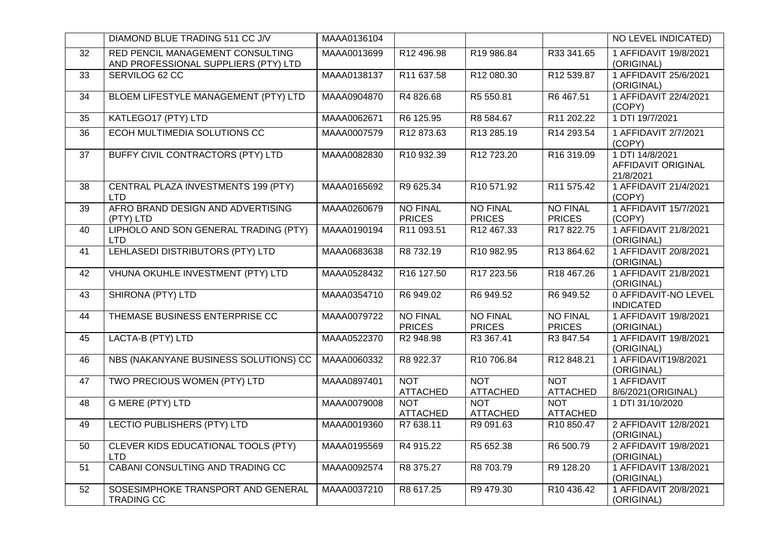|                 | DIAMOND BLUE TRADING 511 CC J/V                                          | MAAA0136104 |                                  |                                  |                                  | NO LEVEL INDICATED)                                       |
|-----------------|--------------------------------------------------------------------------|-------------|----------------------------------|----------------------------------|----------------------------------|-----------------------------------------------------------|
| 32              | RED PENCIL MANAGEMENT CONSULTING<br>AND PROFESSIONAL SUPPLIERS (PTY) LTD | MAAA0013699 | R12 496.98                       | R19 986.84                       | R33 341.65                       | 1 AFFIDAVIT 19/8/2021<br>(ORIGINAL)                       |
| $\overline{33}$ | SERVILOG 62 CC                                                           | MAAA0138137 | R11 637.58                       | R12 080.30                       | R12 539.87                       | 1 AFFIDAVIT 25/6/2021<br>(ORIGINAL)                       |
| 34              | BLOEM LIFESTYLE MANAGEMENT (PTY) LTD                                     | MAAA0904870 | R4 826.68                        | R5 550.81                        | R6 467.51                        | 1 AFFIDAVIT 22/4/2021<br>(COPY)                           |
| 35              | KATLEGO17 (PTY) LTD                                                      | MAAA0062671 | R6 125.95                        | R8 584.67                        | R11 202.22                       | 1 DTI 19/7/2021                                           |
| 36              | ECOH MULTIMEDIA SOLUTIONS CC                                             | MAAA0007579 | R12 873.63                       | R13 285.19                       | R14 293.54                       | 1 AFFIDAVIT 2/7/2021<br>(COPY)                            |
| 37              | BUFFY CIVIL CONTRACTORS (PTY) LTD                                        | MAAA0082830 | R10 932.39                       | R12 723.20                       | R <sub>16</sub> 319.09           | 1 DTI 14/8/2021<br><b>AFFIDAVIT ORIGINAL</b><br>21/8/2021 |
| 38              | CENTRAL PLAZA INVESTMENTS 199 (PTY)<br><b>LTD</b>                        | MAAA0165692 | R9 625.34                        | R10 571.92                       | R11 575.42                       | 1 AFFIDAVIT 21/4/2021<br>(COPY)                           |
| 39              | AFRO BRAND DESIGN AND ADVERTISING<br>(PTY) LTD                           | MAAA0260679 | <b>NO FINAL</b><br><b>PRICES</b> | <b>NO FINAL</b><br><b>PRICES</b> | <b>NO FINAL</b><br><b>PRICES</b> | 1 AFFIDAVIT 15/7/2021<br>(COPY)                           |
| 40              | LIPHOLO AND SON GENERAL TRADING (PTY)<br><b>LTD</b>                      | MAAA0190194 | R11 093.51                       | R12 467.33                       | R17 822.75                       | 1 AFFIDAVIT 21/8/2021<br>(ORIGINAL)                       |
| 41              | LEHLASEDI DISTRIBUTORS (PTY) LTD                                         | MAAA0683638 | R8 732.19                        | R10 982.95                       | R13 864.62                       | 1 AFFIDAVIT 20/8/2021<br>(ORIGINAL)                       |
| 42              | VHUNA OKUHLE INVESTMENT (PTY) LTD                                        | MAAA0528432 | R16 127.50                       | R17 223.56                       | R18 467.26                       | 1 AFFIDAVIT 21/8/2021<br>(ORIGINAL)                       |
| 43              | <b>SHIRONA (PTY) LTD</b>                                                 | MAAA0354710 | R6 949.02                        | R6 949.52                        | R6 949.52                        | 0 AFFIDAVIT-NO LEVEL<br><b>INDICATED</b>                  |
| 44              | THEMASE BUSINESS ENTERPRISE CC                                           | MAAA0079722 | <b>NO FINAL</b><br><b>PRICES</b> | <b>NO FINAL</b><br><b>PRICES</b> | <b>NO FINAL</b><br><b>PRICES</b> | 1 AFFIDAVIT 19/8/2021<br>(ORIGINAL)                       |
| 45              | LACTA-B (PTY) LTD                                                        | MAAA0522370 | R <sub>2</sub> 948.98            | R3 367.41                        | R3 847.54                        | 1 AFFIDAVIT 19/8/2021<br>(ORIGINAL)                       |
| 46              | NBS (NAKANYANE BUSINESS SOLUTIONS) CC                                    | MAAA0060332 | R8 922.37                        | R10 706.84                       | R12 848.21                       | 1 AFFIDAVIT19/8/2021<br>(ORIGINAL)                        |
| 47              | TWO PRECIOUS WOMEN (PTY) LTD                                             | MAAA0897401 | <b>NOT</b><br><b>ATTACHED</b>    | <b>NOT</b><br><b>ATTACHED</b>    | <b>NOT</b><br><b>ATTACHED</b>    | 1 AFFIDAVIT<br>8/6/2021 (ORIGINAL)                        |
| 48              | <b>G MERE (PTY) LTD</b>                                                  | MAAA0079008 | <b>NOT</b><br><b>ATTACHED</b>    | <b>NOT</b><br><b>ATTACHED</b>    | <b>NOT</b><br><b>ATTACHED</b>    | 1 DTI 31/10/2020                                          |
| 49              | <b>LECTIO PUBLISHERS (PTY) LTD</b>                                       | MAAA0019360 | R7 638.11                        | R9 091.63                        | R10 850.47                       | 2 AFFIDAVIT 12/8/2021<br>(ORIGINAL)                       |
| 50              | CLEVER KIDS EDUCATIONAL TOOLS (PTY)<br><b>LTD</b>                        | MAAA0195569 | R4 915.22                        | R5 652.38                        | R6 500.79                        | 2 AFFIDAVIT 19/8/2021<br>(ORIGINAL)                       |
| 51              | CABANI CONSULTING AND TRADING CC                                         | MAAA0092574 | R8 375.27                        | R8 703.79                        | R9 128.20                        | 1 AFFIDAVIT 13/8/2021<br>(ORIGINAL)                       |
| 52              | SOSESIMPHOKE TRANSPORT AND GENERAL<br><b>TRADING CC</b>                  | MAAA0037210 | R8 617.25                        | R9 479.30                        | R10 436.42                       | 1 AFFIDAVIT 20/8/2021<br>(ORIGINAL)                       |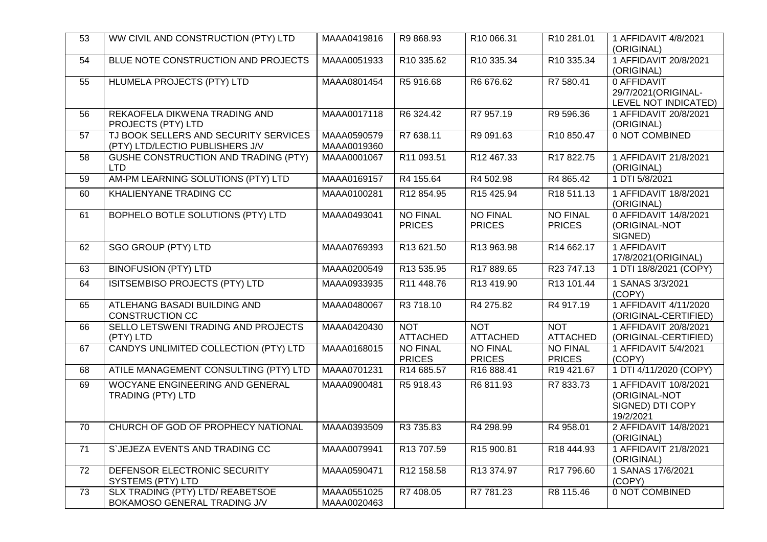| 53 | WW CIVIL AND CONSTRUCTION (PTY) LTD                                      | MAAA0419816                | R9 868.93                        | R10 066.31                       | R10 281.01                       | 1 AFFIDAVIT 4/8/2021<br>(ORIGINAL)                                      |
|----|--------------------------------------------------------------------------|----------------------------|----------------------------------|----------------------------------|----------------------------------|-------------------------------------------------------------------------|
| 54 | BLUE NOTE CONSTRUCTION AND PROJECTS                                      | MAAA0051933                | R10 335.62                       | R10 335.34                       | R10 335.34                       | 1 AFFIDAVIT 20/8/2021<br>(ORIGINAL)                                     |
| 55 | <b>HLUMELA PROJECTS (PTY) LTD</b>                                        | MAAA0801454                | R5 916.68                        | R6 676.62                        | R7 580.41                        | 0 AFFIDAVIT<br>29/7/2021 (ORIGINAL-<br>LEVEL NOT INDICATED)             |
| 56 | REKAOFELA DIKWENA TRADING AND<br>PROJECTS (PTY) LTD                      | MAAA0017118                | R6 324.42                        | R7 957.19                        | R9 596.36                        | 1 AFFIDAVIT 20/8/2021<br>(ORIGINAL)                                     |
| 57 | TJ BOOK SELLERS AND SECURITY SERVICES<br>(PTY) LTD/LECTIO PUBLISHERS J/V | MAAA0590579<br>MAAA0019360 | R7 638.11                        | R9 091.63                        | R10 850.47                       | 0 NOT COMBINED                                                          |
| 58 | GUSHE CONSTRUCTION AND TRADING (PTY)<br><b>LTD</b>                       | MAAA0001067                | R11 093.51                       | R12 467.33                       | R17 822.75                       | 1 AFFIDAVIT 21/8/2021<br>(ORIGINAL)                                     |
| 59 | AM-PM LEARNING SOLUTIONS (PTY) LTD                                       | MAAA0169157                | R4 155.64                        | R4 502.98                        | R4 865.42                        | 1 DTI 5/8/2021                                                          |
| 60 | KHALIENYANE TRADING CC                                                   | MAAA0100281                | R12 854.95                       | R15 425.94                       | R18 511.13                       | 1 AFFIDAVIT 18/8/2021<br>(ORIGINAL)                                     |
| 61 | BOPHELO BOTLE SOLUTIONS (PTY) LTD                                        | MAAA0493041                | <b>NO FINAL</b><br><b>PRICES</b> | <b>NO FINAL</b><br><b>PRICES</b> | <b>NO FINAL</b><br><b>PRICES</b> | 0 AFFIDAVIT 14/8/2021<br>(ORIGINAL-NOT<br>SIGNED)                       |
| 62 | <b>SGO GROUP (PTY) LTD</b>                                               | MAAA0769393                | R13 621.50                       | R13 963.98                       | R14 662.17                       | 1 AFFIDAVIT<br>17/8/2021 (ORIGINAL)                                     |
| 63 | <b>BINOFUSION (PTY) LTD</b>                                              | MAAA0200549                | R13 535.95                       | R17 889.65                       | R23 747.13                       | 1 DTI 18/8/2021 (COPY)                                                  |
| 64 | ISITSEMBISO PROJECTS (PTY) LTD                                           | MAAA0933935                | R11 448.76                       | R13 419.90                       | R13 101.44                       | 1 SANAS 3/3/2021<br>(COPY)                                              |
| 65 | ATLEHANG BASADI BUILDING AND<br><b>CONSTRUCTION CC</b>                   | MAAA0480067                | R3 718.10                        | R4 275.82                        | R4 917.19                        | 1 AFFIDAVIT 4/11/2020<br>(ORIGINAL-CERTIFIED)                           |
| 66 | SELLO LETSWENI TRADING AND PROJECTS<br>(PTY) LTD                         | MAAA0420430                | <b>NOT</b><br><b>ATTACHED</b>    | <b>NOT</b><br><b>ATTACHED</b>    | <b>NOT</b><br><b>ATTACHED</b>    | 1 AFFIDAVIT 20/8/2021<br>(ORIGINAL-CERTIFIED)                           |
| 67 | CANDYS UNLIMITED COLLECTION (PTY) LTD                                    | MAAA0168015                | <b>NO FINAL</b><br><b>PRICES</b> | <b>NO FINAL</b><br><b>PRICES</b> | <b>NO FINAL</b><br><b>PRICES</b> | 1 AFFIDAVIT 5/4/2021<br>(COPY)                                          |
| 68 | ATILE MANAGEMENT CONSULTING (PTY) LTD                                    | MAAA0701231                | R14 685.57                       | R16 888.41                       | R19 421.67                       | 1 DTI 4/11/2020 (COPY)                                                  |
| 69 | WOCYANE ENGINEERING AND GENERAL<br><b>TRADING (PTY) LTD</b>              | MAAA0900481                | R5 918.43                        | R6811.93                         | R7 833.73                        | 1 AFFIDAVIT 10/8/2021<br>(ORIGINAL-NOT<br>SIGNED) DTI COPY<br>19/2/2021 |
| 70 | CHURCH OF GOD OF PROPHECY NATIONAL                                       | MAAA0393509                | R3 735.83                        | R4 298.99                        | R4 958.01                        | 2 AFFIDAVIT 14/8/2021<br>(ORIGINAL)                                     |
| 71 | S`JEJEZA EVENTS AND TRADING CC                                           | MAAA0079941                | R13 707.59                       | R15 900.81                       | R18 444.93                       | 1 AFFIDAVIT 21/8/2021<br>(ORIGINAL)                                     |
| 72 | DEFENSOR ELECTRONIC SECURITY<br>SYSTEMS (PTY) LTD                        | MAAA0590471                | R12 158.58                       | R13 374.97                       | R17 796.60                       | 1 SANAS 17/6/2021<br>(COPY)                                             |
| 73 | SLX TRADING (PTY) LTD/ REABETSOE<br>BOKAMOSO GENERAL TRADING J/V         | MAAA0551025<br>MAAA0020463 | R7 408.05                        | R7 781.23                        | R8 115.46                        | 0 NOT COMBINED                                                          |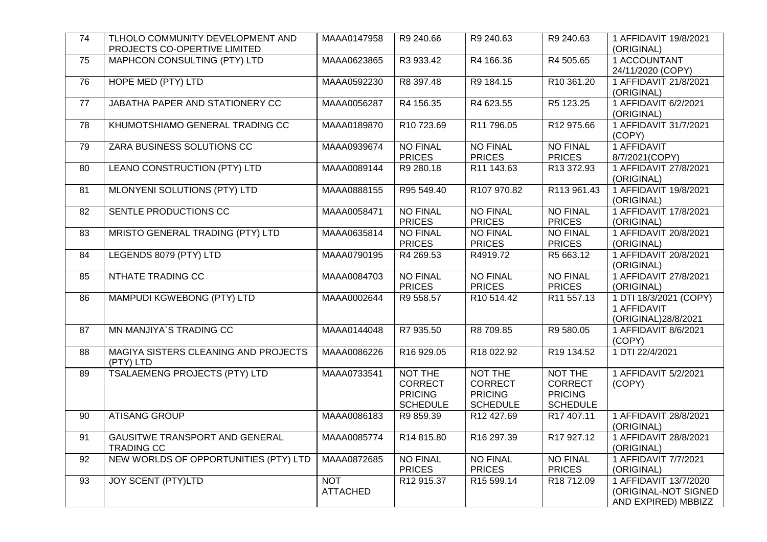| 74              | TLHOLO COMMUNITY DEVELOPMENT AND<br>PROJECTS CO-OPERTIVE LIMITED | MAAA0147958                   | R9 240.66                                                      | R9 240.63                                                      | R9 240.63                                                      | 1 AFFIDAVIT 19/8/2021<br>(ORIGINAL)                                  |
|-----------------|------------------------------------------------------------------|-------------------------------|----------------------------------------------------------------|----------------------------------------------------------------|----------------------------------------------------------------|----------------------------------------------------------------------|
| 75              | MAPHCON CONSULTING (PTY) LTD                                     | MAAA0623865                   | R3 933.42                                                      | R4 166.36                                                      | R4 505.65                                                      | 1 ACCOUNTANT<br>24/11/2020 (COPY)                                    |
| 76              | <b>HOPE MED (PTY) LTD</b>                                        | MAAA0592230                   | R8 397.48                                                      | R9 184.15                                                      | R <sub>10</sub> 361.20                                         | 1 AFFIDAVIT 21/8/2021<br>(ORIGINAL)                                  |
| 77              | JABATHA PAPER AND STATIONERY CC                                  | MAAA0056287                   | R4 156.35                                                      | R4 623.55                                                      | R5 123.25                                                      | 1 AFFIDAVIT 6/2/2021<br>(ORIGINAL)                                   |
| 78              | KHUMOTSHIAMO GENERAL TRADING CC                                  | MAAA0189870                   | R <sub>10</sub> 723.69                                         | R11 796.05                                                     | R12 975.66                                                     | 1 AFFIDAVIT 31/7/2021<br>(COPY)                                      |
| 79              | ZARA BUSINESS SOLUTIONS CC                                       | MAAA0939674                   | <b>NO FINAL</b><br><b>PRICES</b>                               | <b>NO FINAL</b><br><b>PRICES</b>                               | <b>NO FINAL</b><br><b>PRICES</b>                               | 1 AFFIDAVIT<br>8/7/2021(COPY)                                        |
| 80              | <b>LEANO CONSTRUCTION (PTY) LTD</b>                              | MAAA0089144                   | R9 280.18                                                      | R11 143.63                                                     | R13 372.93                                                     | 1 AFFIDAVIT 27/8/2021<br>(ORIGINAL)                                  |
| 81              | MLONYENI SOLUTIONS (PTY) LTD                                     | MAAA0888155                   | R95 549.40                                                     | R107 970.82                                                    | R113 961.43                                                    | 1 AFFIDAVIT 19/8/2021<br>(ORIGINAL)                                  |
| 82              | SENTLE PRODUCTIONS CC                                            | MAAA0058471                   | <b>NO FINAL</b><br><b>PRICES</b>                               | <b>NO FINAL</b><br><b>PRICES</b>                               | <b>NO FINAL</b><br><b>PRICES</b>                               | 1 AFFIDAVIT 17/8/2021<br>(ORIGINAL)                                  |
| 83              | MRISTO GENERAL TRADING (PTY) LTD                                 | MAAA0635814                   | <b>NO FINAL</b><br><b>PRICES</b>                               | <b>NO FINAL</b><br><b>PRICES</b>                               | <b>NO FINAL</b><br><b>PRICES</b>                               | 1 AFFIDAVIT 20/8/2021<br>(ORIGINAL)                                  |
| 84              | LEGENDS 8079 (PTY) LTD                                           | MAAA0790195                   | R4 269.53                                                      | R4919.72                                                       | R5 663.12                                                      | 1 AFFIDAVIT 20/8/2021<br>(ORIGINAL)                                  |
| 85              | NTHATE TRADING CC                                                | MAAA0084703                   | <b>NO FINAL</b><br><b>PRICES</b>                               | <b>NO FINAL</b><br><b>PRICES</b>                               | <b>NO FINAL</b><br><b>PRICES</b>                               | 1 AFFIDAVIT 27/8/2021<br>(ORIGINAL)                                  |
| 86              | MAMPUDI KGWEBONG (PTY) LTD                                       | MAAA0002644                   | R9 558.57                                                      | R <sub>10</sub> 514.42                                         | R11 557.13                                                     | 1 DTI 18/3/2021 (COPY)<br>1 AFFIDAVIT<br>(ORIGINAL)28/8/2021         |
| $\overline{87}$ | <b>MN MANJIYA'S TRADING CC</b>                                   | MAAA0144048                   | R7 935.50                                                      | R8 709.85                                                      | R9 580.05                                                      | 1 AFFIDAVIT 8/6/2021<br>(COPY)                                       |
| 88              | MAGIYA SISTERS CLEANING AND PROJECTS<br>(PTY) LTD                | MAAA0086226                   | R16 929.05                                                     | R18 022.92                                                     | R19 134.52                                                     | 1 DTI 22/4/2021                                                      |
| 89              | <b>TSALAEMENG PROJECTS (PTY) LTD</b>                             | MAAA0733541                   | NOT THE<br><b>CORRECT</b><br><b>PRICING</b><br><b>SCHEDULE</b> | NOT THE<br><b>CORRECT</b><br><b>PRICING</b><br><b>SCHEDULE</b> | NOT THE<br><b>CORRECT</b><br><b>PRICING</b><br><b>SCHEDULE</b> | 1 AFFIDAVIT 5/2/2021<br>(COPY)                                       |
| $\overline{90}$ | <b>ATISANG GROUP</b>                                             | MAAA0086183                   | R9 859.39                                                      | R12 427.69                                                     | R17 407.11                                                     | 1 AFFIDAVIT 28/8/2021<br>(ORIGINAL)                                  |
| 91              | <b>GAUSITWE TRANSPORT AND GENERAL</b><br><b>TRADING CC</b>       | MAAA0085774                   | R14 815.80                                                     | R <sub>16</sub> 297.39                                         | R17 927.12                                                     | 1 AFFIDAVIT 28/8/2021<br>(ORIGINAL)                                  |
| $\overline{92}$ | NEW WORLDS OF OPPORTUNITIES (PTY) LTD                            | MAAA0872685                   | <b>NO FINAL</b><br><b>PRICES</b>                               | <b>NO FINAL</b><br><b>PRICES</b>                               | <b>NO FINAL</b><br><b>PRICES</b>                               | 1 AFFIDAVIT 7/7/2021<br>(ORIGINAL)                                   |
| 93              | <b>JOY SCENT (PTY)LTD</b>                                        | <b>NOT</b><br><b>ATTACHED</b> | R12 915.37                                                     | R15 599.14                                                     | R18 712.09                                                     | 1 AFFIDAVIT 13/7/2020<br>(ORIGINAL-NOT SIGNED<br>AND EXPIRED) MBBIZZ |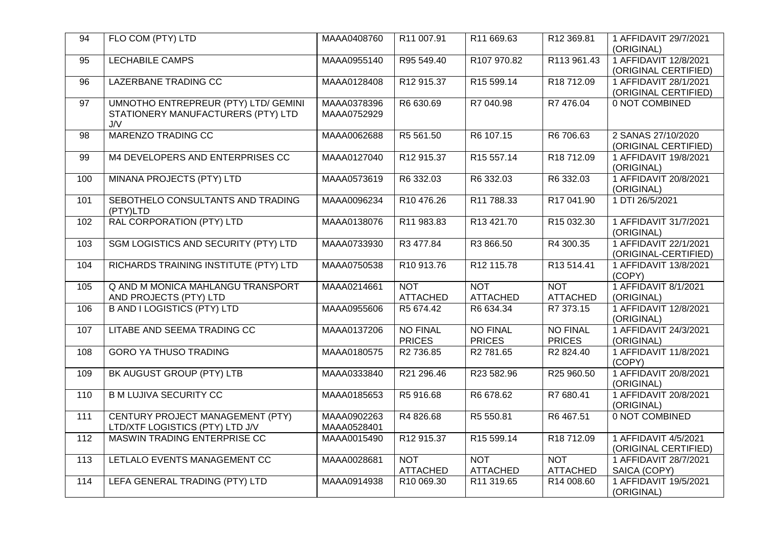| 94                | FLO COM (PTY) LTD                                                                 | MAAA0408760                | R11 007.91                       | R11 669.63                       | R12 369.81                       | 1 AFFIDAVIT 29/7/2021<br>(ORIGINAL)           |
|-------------------|-----------------------------------------------------------------------------------|----------------------------|----------------------------------|----------------------------------|----------------------------------|-----------------------------------------------|
| 95                | <b>LECHABILE CAMPS</b>                                                            | MAAA0955140                | R95 549.40                       | R107 970.82                      | R113 961.43                      | 1 AFFIDAVIT 12/8/2021<br>(ORIGINAL CERTIFIED) |
| 96                | <b>LAZERBANE TRADING CC</b>                                                       | MAAA0128408                | R12 915.37                       | R <sub>15</sub> 599.14           | R18 712.09                       | 1 AFFIDAVIT 28/1/2021<br>(ORIGINAL CERTIFIED) |
| 97                | UMNOTHO ENTREPREUR (PTY) LTD/ GEMINI<br>STATIONERY MANUFACTURERS (PTY) LTD<br>J/V | MAAA0378396<br>MAAA0752929 | R6 630.69                        | R7 040.98                        | R7 476.04                        | 0 NOT COMBINED                                |
| 98                | <b>MARENZO TRADING CC</b>                                                         | MAAA0062688                | R5 561.50                        | R6 107.15                        | R6 706.63                        | 2 SANAS 27/10/2020<br>(ORIGINAL CERTIFIED)    |
| 99                | M4 DEVELOPERS AND ENTERPRISES CC                                                  | MAAA0127040                | R12 915.37                       | R15 557.14                       | R18 712.09                       | 1 AFFIDAVIT 19/8/2021<br>(ORIGINAL)           |
| 100               | MINANA PROJECTS (PTY) LTD                                                         | MAAA0573619                | R6 332.03                        | R6 332.03                        | R6 332.03                        | 1 AFFIDAVIT 20/8/2021<br>(ORIGINAL)           |
| 101               | SEBOTHELO CONSULTANTS AND TRADING<br>(PTY)LTD                                     | MAAA0096234                | R10 476.26                       | R11 788.33                       | R17 041.90                       | 1 DTI 26/5/2021                               |
| 102               | RAL CORPORATION (PTY) LTD                                                         | MAAA0138076                | R11 983.83                       | R13 421.70                       | R <sub>15</sub> 032.30           | 1 AFFIDAVIT 31/7/2021<br>(ORIGINAL)           |
| 103               | <b>SGM LOGISTICS AND SECURITY (PTY) LTD</b>                                       | MAAA0733930                | R3 477.84                        | R3 866.50                        | R4 300.35                        | 1 AFFIDAVIT 22/1/2021<br>(ORIGINAL-CERTIFIED) |
| 104               | RICHARDS TRAINING INSTITUTE (PTY) LTD                                             | MAAA0750538                | R10 913.76                       | R12 115.78                       | R13 514.41                       | 1 AFFIDAVIT 13/8/2021<br>(COPY)               |
| 105               | <b>Q AND M MONICA MAHLANGU TRANSPORT</b><br>AND PROJECTS (PTY) LTD                | MAAA0214661                | <b>NOT</b><br><b>ATTACHED</b>    | <b>NOT</b><br><b>ATTACHED</b>    | <b>NOT</b><br><b>ATTACHED</b>    | 1 AFFIDAVIT 8/1/2021<br>(ORIGINAL)            |
| 106               | <b>B AND I LOGISTICS (PTY) LTD</b>                                                | MAAA0955606                | R5 674.42                        | R6 634.34                        | R7 373.15                        | 1 AFFIDAVIT 12/8/2021<br>(ORIGINAL)           |
| 107               | <b>LITABE AND SEEMA TRADING CC</b>                                                | MAAA0137206                | <b>NO FINAL</b><br><b>PRICES</b> | <b>NO FINAL</b><br><b>PRICES</b> | <b>NO FINAL</b><br><b>PRICES</b> | 1 AFFIDAVIT 24/3/2021<br>(ORIGINAL)           |
| 108               | <b>GORO YA THUSO TRADING</b>                                                      | MAAA0180575                | R <sub>2</sub> 736.85            | R <sub>2</sub> 781.65            | R2 824.40                        | 1 AFFIDAVIT 11/8/2021<br>(COPY)               |
| 109               | BK AUGUST GROUP (PTY) LTB                                                         | MAAA0333840                | R21 296.46                       | R23 582.96                       | R25 960.50                       | 1 AFFIDAVIT 20/8/2021<br>(ORIGINAL)           |
| 110               | <b>B M LUJIVA SECURITY CC</b>                                                     | MAAA0185653                | R5 916.68                        | R6 678.62                        | R7 680.41                        | 1 AFFIDAVIT 20/8/2021<br>(ORIGINAL)           |
| $\overline{111}$  | CENTURY PROJECT MANAGEMENT (PTY)<br>LTD/XTF LOGISTICS (PTY) LTD J/V               | MAAA0902263<br>MAAA0528401 | R4 826.68                        | R5 550.81                        | R6 467.51                        | 0 NOT COMBINED                                |
| 112               | MASWIN TRADING ENTERPRISE CC                                                      | MAAA0015490                | R12 915.37                       | R15 599.14                       | R18 712.09                       | 1 AFFIDAVIT 4/5/2021<br>(ORIGINAL CERTIFIED)  |
| $\frac{113}{113}$ | LETLALO EVENTS MANAGEMENT CC                                                      | MAAA0028681                | <b>NOT</b><br><b>ATTACHED</b>    | <b>NOT</b><br><b>ATTACHED</b>    | <b>NOT</b><br><b>ATTACHED</b>    | 1 AFFIDAVIT 28/7/2021<br>SAICA (COPY)         |
| 114               | LEFA GENERAL TRADING (PTY) LTD                                                    | MAAA0914938                | R10 069.30                       | R11 319.65                       | R14 008.60                       | 1 AFFIDAVIT 19/5/2021<br>(ORIGINAL)           |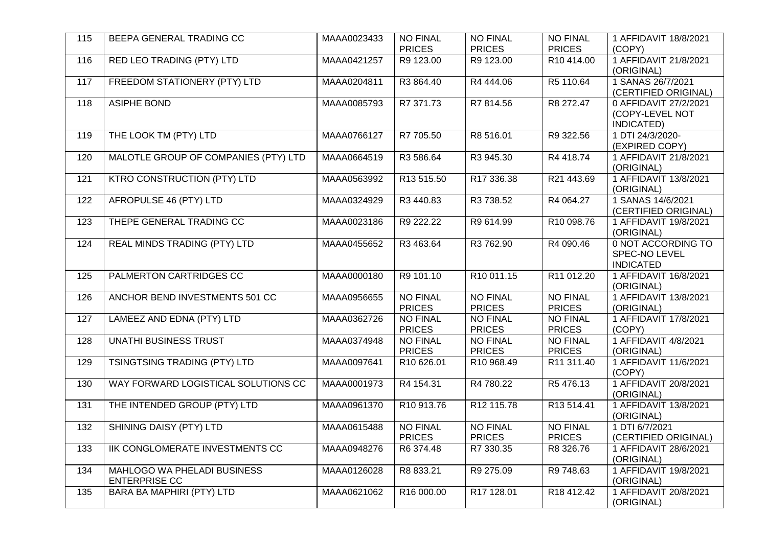| 115 | BEEPA GENERAL TRADING CC                            | MAAA0023433 | <b>NO FINAL</b><br><b>PRICES</b> | <b>NO FINAL</b><br><b>PRICES</b> | <b>NO FINAL</b><br><b>PRICES</b> | 1 AFFIDAVIT 18/8/2021<br>(COPY)                         |
|-----|-----------------------------------------------------|-------------|----------------------------------|----------------------------------|----------------------------------|---------------------------------------------------------|
| 116 | RED LEO TRADING (PTY) LTD                           | MAAA0421257 | R9 123.00                        | R9 123.00                        | R10 414.00                       | 1 AFFIDAVIT 21/8/2021<br>(ORIGINAL)                     |
| 117 | FREEDOM STATIONERY (PTY) LTD                        | MAAA0204811 | R3 864.40                        | R4 444.06                        | R5 110.64                        | 1 SANAS 26/7/2021<br>(CERTIFIED ORIGINAL)               |
| 118 | <b>ASIPHE BOND</b>                                  | MAAA0085793 | R7 371.73                        | R7 814.56                        | R8 272.47                        | 0 AFFIDAVIT 27/2/2021<br>(COPY-LEVEL NOT<br>INDICATED)  |
| 119 | THE LOOK TM (PTY) LTD                               | MAAA0766127 | R7 705.50                        | R8 516.01                        | R9 322.56                        | 1 DTI 24/3/2020-<br>(EXPIRED COPY)                      |
| 120 | MALOTLE GROUP OF COMPANIES (PTY) LTD                | MAAA0664519 | R3 586.64                        | R3 945.30                        | R4 418.74                        | 1 AFFIDAVIT 21/8/2021<br>(ORIGINAL)                     |
| 121 | <b>KTRO CONSTRUCTION (PTY) LTD</b>                  | MAAA0563992 | R13 515.50                       | R17 336.38                       | R21 443.69                       | 1 AFFIDAVIT 13/8/2021<br>(ORIGINAL)                     |
| 122 | AFROPULSE 46 (PTY) LTD                              | MAAA0324929 | R3 440.83                        | R <sub>3</sub> 738.52            | R4 064.27                        | 1 SANAS 14/6/2021<br>(CERTIFIED ORIGINAL)               |
| 123 | THEPE GENERAL TRADING CC                            | MAAA0023186 | R9 222.22                        | R9 614.99                        | R10 098.76                       | 1 AFFIDAVIT 19/8/2021<br>(ORIGINAL)                     |
| 124 | REAL MINDS TRADING (PTY) LTD                        | MAAA0455652 | R3 463.64                        | R3 762.90                        | R4 090.46                        | 0 NOT ACCORDING TO<br>SPEC-NO LEVEL<br><b>INDICATED</b> |
| 125 | PALMERTON CARTRIDGES CC                             | MAAA0000180 | R9 101.10                        | R10 011.15                       | R11 012.20                       | 1 AFFIDAVIT 16/8/2021<br>(ORIGINAL)                     |
| 126 | ANCHOR BEND INVESTMENTS 501 CC                      | MAAA0956655 | <b>NO FINAL</b><br><b>PRICES</b> | <b>NO FINAL</b><br><b>PRICES</b> | <b>NO FINAL</b><br><b>PRICES</b> | 1 AFFIDAVIT 13/8/2021<br>(ORIGINAL)                     |
| 127 | LAMEEZ AND EDNA (PTY) LTD                           | MAAA0362726 | <b>NO FINAL</b><br><b>PRICES</b> | <b>NO FINAL</b><br><b>PRICES</b> | <b>NO FINAL</b><br><b>PRICES</b> | 1 AFFIDAVIT 17/8/2021<br>(COPY)                         |
| 128 | <b>UNATHI BUSINESS TRUST</b>                        | MAAA0374948 | <b>NO FINAL</b><br><b>PRICES</b> | <b>NO FINAL</b><br><b>PRICES</b> | <b>NO FINAL</b><br><b>PRICES</b> | 1 AFFIDAVIT 4/8/2021<br>(ORIGINAL)                      |
| 129 | TSINGTSING TRADING (PTY) LTD                        | MAAA0097641 | R10 626.01                       | R10 968.49                       | R <sub>11</sub> 311.40           | 1 AFFIDAVIT 11/6/2021<br>(COPY)                         |
| 130 | WAY FORWARD LOGISTICAL SOLUTIONS CC                 | MAAA0001973 | R4 154.31                        | R4 780.22                        | R5 476.13                        | 1 AFFIDAVIT 20/8/2021<br>(ORIGINAL)                     |
| 131 | THE INTENDED GROUP (PTY) LTD                        | MAAA0961370 | R10 913.76                       | R12 115.78                       | R13 514.41                       | 1 AFFIDAVIT 13/8/2021<br>(ORIGINAL)                     |
| 132 | SHINING DAISY (PTY) LTD                             | MAAA0615488 | <b>NO FINAL</b><br><b>PRICES</b> | <b>NO FINAL</b><br><b>PRICES</b> | <b>NO FINAL</b><br><b>PRICES</b> | 1 DTI 6/7/2021<br>(CERTIFIED ORIGINAL)                  |
| 133 | IIK CONGLOMERATE INVESTMENTS CC                     | MAAA0948276 | R6 374.48                        | R7 330.35                        | R8 326.76                        | 1 AFFIDAVIT 28/6/2021<br>(ORIGINAL)                     |
| 134 | MAHLOGO WA PHELADI BUSINESS<br><b>ENTERPRISE CC</b> | MAAA0126028 | R8 833.21                        | R9 275.09                        | R9 748.63                        | 1 AFFIDAVIT 19/8/2021<br>(ORIGINAL)                     |
| 135 | BARA BA MAPHIRI (PTY) LTD                           | MAAA0621062 | R16 000.00                       | R17 128.01                       | R18 412.42                       | 1 AFFIDAVIT 20/8/2021<br>(ORIGINAL)                     |